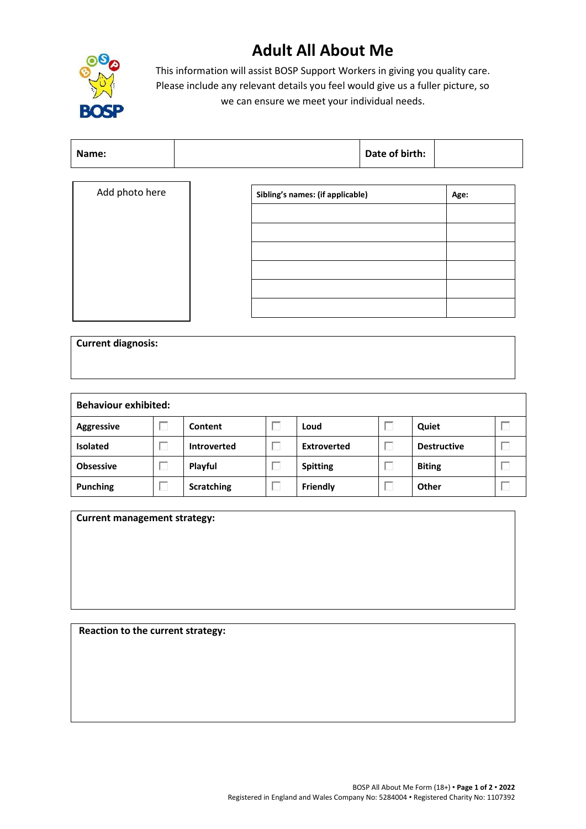## **Adult All About Me**



This information will assist BOSP Support Workers in giving you quality care. Please include any relevant details you feel would give us a fuller picture, so we can ensure we meet your individual needs.

| Add photo here | Sibling's names: (if applicable) | Age: |
|----------------|----------------------------------|------|
|                |                                  |      |
|                |                                  |      |
|                |                                  |      |
|                |                                  |      |
|                |                                  |      |
|                |                                  |      |

| <b>Current diagnosis:</b>             |  |  |
|---------------------------------------|--|--|
|                                       |  |  |
|                                       |  |  |
| المتماثلة والتواصي والمتواط والمرادات |  |  |

| <b>Behaviour exhibited:</b> |  |                    |  |                 |  |                    |  |
|-----------------------------|--|--------------------|--|-----------------|--|--------------------|--|
| <b>Aggressive</b>           |  | Content            |  | Loud            |  | Quiet              |  |
| <b>Isolated</b>             |  | <b>Introverted</b> |  | Extroverted     |  | <b>Destructive</b> |  |
| <b>Obsessive</b>            |  | Playful            |  | <b>Spitting</b> |  | <b>Biting</b>      |  |
| <b>Punching</b>             |  | <b>Scratching</b>  |  | <b>Friendly</b> |  | Other              |  |

**Current management strategy:**

**Reaction to the current strategy:**